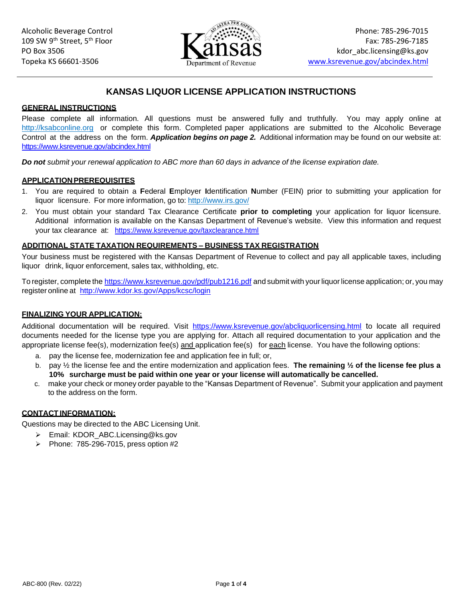

# **KANSAS LIQUOR LICENSE APPLICATION INSTRUCTIONS**

#### **GENERAL INSTRUCTIONS**

Please complete all information. All questions must be answered fully and truthfully. You may apply online at [http://ksabconline.org](http://ksabconline.org/) or complete this form. Completed paper applications are submitted to the Alcoholic Beverage Control at the address on the form. *Application begins on page 2.* Additional information may be found on our website at: <https://www.ksrevenue.gov/abcindex.html>

*Do not submit your renewal application to ABC more than 60 days in advance of the license expiration date.* 

#### **APPLICATION PREREQUISITES**

- 1. You are required to obtain a **F**ederal **E**mployer **I**dentification **N**umber (FEIN) prior to submitting your application for liquor licensure. For more information, go to:<http://www.irs.gov/>
- your tax clearance at: <https://www.ksrevenue.gov/taxclearance.html> 2. You must obtain your standard Tax Clearance Certificate **prior to completing** your application for liquor licensure. Additional information is available on the Kansas Department of Revenue's website. View this information and request

#### **ADDITIONAL STATE TAXATION REQUIREMENTS – BUSINESS TAX REGISTRATION**

Your business must be registered with the Kansas Department of Revenue to collect and pay all applicable taxes, including liquor drink, liquor enforcement, sales tax, withholding, etc.

register online at http://www.kdor.ks.gov/Apps/kcsc/login To register, complete the<https://www.ksrevenue.gov/pdf/pub1216.pdf>and submit with your liquor license application; or, you may

### **FINALIZING YOUR APPLICATION:**

Additional documentation will be required. Visit <https://www.ksrevenue.gov/abcliquorlicensing.html>to locate all required documents needed for the license type you are applying for. Attach all required documentation to your application and the appropriate license fee(s), modernization fee(s) and application fee(s) for each license. You have the following options:

- a. pay the license fee, modernization fee and application fee in full; or,
- b. pay ½ the license fee and the entire modernization and application fees. **The remaining ½ of the license fee plus a 10% surcharge must be paid within one year or your license will automatically be cancelled.**
- c. make your check or money order payable to the "Kansas Department of Revenue". Submit your application and payment to the address on the form.

## **CONTACT INFORMATION:**

Questions may be directed to the ABC Licensing Unit.

- ➢ Email: [KDOR\\_ABC.Licensing@ks.gov](mailto:KDOR_ABC.Licensing@ks.gov)
- ➢ Phone: 785-296-7015, press option #2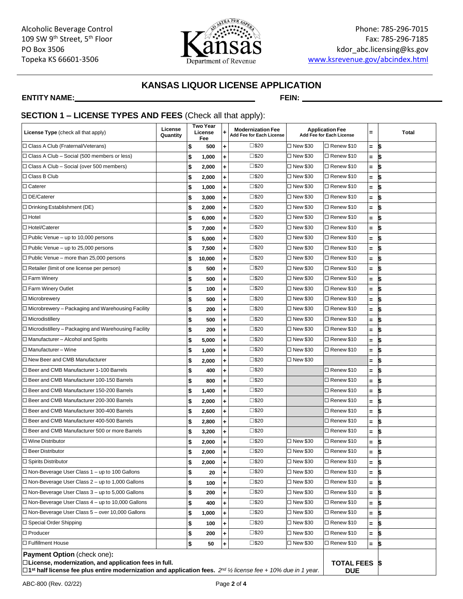

# **KANSAS LIQUOR LICENSE APPLICATION**

#### **ENTITY NAME: FEIN:**

# **SECTION 1 – LICENSE TYPES AND FEES** (Check all that apply):

| <b>License Type</b> (check all that apply)                                                                                                                                                                                                  | License<br>Quantity |    | <b>Two Year</b><br>License<br>Fee | ٠         | <b>Modernization Fee</b><br>Add Fee for Each License |            | <b>Application Fee</b><br>Add Fee for Each License | Ξ   | Total |
|---------------------------------------------------------------------------------------------------------------------------------------------------------------------------------------------------------------------------------------------|---------------------|----|-----------------------------------|-----------|------------------------------------------------------|------------|----------------------------------------------------|-----|-------|
| □ Class A Club (Fraternal/Veterans)                                                                                                                                                                                                         |                     | \$ | 500                               | ٠         | $\square$ \$20                                       | □ New \$30 | □ Renew \$10                                       | Ξ.  | \$    |
| $\Box$ Class A Club – Social (500 members or less)                                                                                                                                                                                          |                     | \$ | 1,000                             | ٠         | $\square$ \$20                                       | □ New \$30 | □ Renew \$10                                       | Ξ.  | 1\$   |
| $\Box$ Class A Club – Social (over 500 members)                                                                                                                                                                                             |                     | \$ | 2,000                             | ÷         | $\square$ \$20                                       | □ New \$30 | □ Renew \$10                                       | $=$ | ı\$   |
| □ Class B Club                                                                                                                                                                                                                              |                     | \$ | 2,000                             | ÷         | $\square$ \$20                                       | □ New \$30 | □ Renew \$10                                       | $=$ | ß.    |
| $\Box$ Caterer                                                                                                                                                                                                                              |                     | \$ | 1,000                             | ÷         | $\square$ \$20                                       | □ New \$30 | □ Renew \$10                                       | $=$ | \$    |
| □ DE/Caterer                                                                                                                                                                                                                                |                     | \$ | 3,000                             | ٠         | $\square$ \$20                                       | □ New \$30 | □ Renew \$10                                       | $=$ | 5     |
| $\Box$ Drinking Establishment (DE)                                                                                                                                                                                                          |                     | \$ | 2,000                             | ÷         | $\square$ \$20                                       | □ New \$30 | □ Renew \$10                                       | $=$ | \$    |
| $\Box$ Hotel                                                                                                                                                                                                                                |                     | \$ | 6,000                             | ÷         | $\square$ \$20                                       | □ New \$30 | □ Renew \$10                                       | $=$ | \$    |
| □ Hotel/Caterer                                                                                                                                                                                                                             |                     | \$ | 7,000                             | ٠         | $\square$ \$20                                       | □ New \$30 | □ Renew \$10                                       | Ξ.  | \$    |
| $\Box$ Public Venue – up to 10,000 persons                                                                                                                                                                                                  |                     | \$ | 5,000                             | ٠         | $\square$ \$20                                       | □ New \$30 | □ Renew \$10                                       | =   | 5     |
| $\Box$ Public Venue – up to 25,000 persons                                                                                                                                                                                                  |                     | \$ | 7,500                             | ÷         | $\square$ \$20                                       | □ New \$30 | □ Renew \$10                                       | Ξ.  | \$    |
| $\Box$ Public Venue – more than 25,000 persons                                                                                                                                                                                              |                     | \$ | 10,000                            | ÷         | $\square$ \$20                                       | □ New \$30 | □ Renew \$10                                       | $=$ | \$    |
| $\Box$ Retailer (limit of one license per person)                                                                                                                                                                                           |                     | \$ | 500                               | ÷         | $\square$ \$20                                       | □ New \$30 | □ Renew \$10                                       | Ξ.  | \$    |
| $\square$ Farm Winery                                                                                                                                                                                                                       |                     | \$ | 500                               | ٠         | $\square$ \$20                                       | □ New \$30 | □ Renew \$10                                       | $=$ | \$    |
| □ Farm Winery Outlet                                                                                                                                                                                                                        |                     | \$ | 100                               | ÷         | □\$20                                                | □ New \$30 | □ Renew \$10                                       | $=$ | \$    |
| □ Microbrewery                                                                                                                                                                                                                              |                     | \$ | 500                               | ÷         | $\square$ \$20                                       | □ New \$30 | □ Renew \$10                                       | $=$ | \$    |
| $\Box$ Microbrewery – Packaging and Warehousing Facility                                                                                                                                                                                    |                     | \$ | 200                               | ÷         | $\square$ \$20                                       | □ New \$30 | □ Renew \$10                                       | $=$ | \$    |
| $\Box$ Microdistillery                                                                                                                                                                                                                      |                     | \$ | 500                               | ٠         | $\square$ \$20                                       | □ New \$30 | □ Renew \$10                                       | $=$ | \$    |
| $\Box$ Microdistillery – Packaging and Warehousing Facility                                                                                                                                                                                 |                     | \$ | 200                               | ÷         | $\square$ \$20                                       | □ New \$30 | □ Renew \$10                                       | Ξ.  | \$    |
| $\Box$ Manufacturer - Alcohol and Spirits                                                                                                                                                                                                   |                     | \$ | 5,000                             | ÷         | $\square$ \$20                                       | □ New \$30 | □ Renew \$10                                       | $=$ | \$    |
| $\Box$ Manufacturer - Wine                                                                                                                                                                                                                  |                     | \$ | 1,000                             | ٠         | $\square$ \$20                                       | □ New \$30 | □ Renew \$10                                       | $=$ | \$    |
| $\Box$ New Beer and CMB Manufacturer                                                                                                                                                                                                        |                     | \$ | 2,000                             | ٠         | $\square$ \$20                                       | □ New \$30 |                                                    | =   | \$    |
| □ Beer and CMB Manufacturer 1-100 Barrels                                                                                                                                                                                                   |                     | \$ | 400                               | ÷         | □\$20                                                |            | □ Renew \$10                                       | $=$ | \$    |
| □ Beer and CMB Manufacturer 100-150 Barrels                                                                                                                                                                                                 |                     | \$ | 800                               | ÷         | $\square$ \$20                                       |            | □ Renew \$10                                       | $=$ | \$    |
| □ Beer and CMB Manufacturer 150-200 Barrels                                                                                                                                                                                                 |                     | \$ | 1,400                             | $\ddot{}$ | $\square$ \$20                                       |            | □ Renew \$10                                       | $=$ | \$    |
| □ Beer and CMB Manufacturer 200-300 Barrels                                                                                                                                                                                                 |                     | \$ | 2,000                             | ٠         | $\square$ \$20                                       |            | □ Renew \$10                                       | Ξ.  | \$    |
| □ Beer and CMB Manufacturer 300-400 Barrels                                                                                                                                                                                                 |                     | \$ | 2,600                             | ٠         | $\square$ \$20                                       |            | □ Renew \$10                                       | Ξ.  | \$    |
| □ Beer and CMB Manufacturer 400-500 Barrels                                                                                                                                                                                                 |                     | \$ | 2,800                             | $\ddot{}$ | $\square$ \$20                                       |            | □ Renew \$10                                       | $=$ | \$    |
| □ Beer and CMB Manufacturer 500 or more Barrels                                                                                                                                                                                             |                     | \$ | 3,200                             | ٠         | $\square$ \$20                                       |            | □ Renew \$10                                       | $=$ | \$    |
| $\Box$ Wine Distributor                                                                                                                                                                                                                     |                     | \$ | 2,000                             | ÷         | $\square$ \$20                                       | □ New \$30 | □ Renew \$10                                       | $=$ | \$    |
| $\Box$ Beer Distributor                                                                                                                                                                                                                     |                     | \$ | 2,000                             | ٠         | $\square$ \$20                                       | □ New \$30 | □ Renew \$10                                       | $=$ | \$    |
| $\Box$ Spirits Distributor                                                                                                                                                                                                                  |                     | \$ | 2,000                             |           | $\square$ \$20                                       | □ New \$30 | □ Renew \$10                                       |     | Ś.    |
| $\Box$ Non-Beverage User Class 1 – up to 100 Gallons                                                                                                                                                                                        |                     | \$ | 20                                | ٠         | $\square$ \$20                                       | □ New \$30 | □ Renew \$10                                       | $=$ | \$    |
| $\Box$ Non-Beverage User Class 2 – up to 1,000 Gallons                                                                                                                                                                                      |                     | \$ | 100                               | ٠         | $\square$ \$20                                       | □ New \$30 | □ Renew \$10                                       | $=$ | \$    |
| $\Box$ Non-Beverage User Class 3 – up to 5,000 Gallons                                                                                                                                                                                      |                     | \$ | 200                               | ٠         | $\square$ \$20                                       | □ New \$30 | □ Renew \$10                                       | $=$ | \$    |
| $\Box$ Non-Beverage User Class 4 – up to 10,000 Gallons                                                                                                                                                                                     |                     | \$ | 400                               | ÷         | $\square$ \$20                                       | □ New \$30 | □ Renew \$10                                       | $=$ | \$    |
| $\Box$ Non-Beverage User Class 5 – over 10,000 Gallons                                                                                                                                                                                      |                     | \$ | 1,000                             | ٠         | $\square$ \$20                                       | □ New \$30 | □ Renew \$10                                       | $=$ | \$    |
| $\Box$ Special Order Shipping                                                                                                                                                                                                               |                     | \$ | 100                               | ÷.        | □\$20                                                | □ New \$30 | □ Renew \$10                                       | Ξ.  | \$    |
| $\Box$ Producer                                                                                                                                                                                                                             |                     | \$ | 200                               | ٠         | □\$20                                                | □ New \$30 | □ Renew \$10                                       | =   | \$    |
| □ Fulfillment House                                                                                                                                                                                                                         |                     | \$ | 50                                | ÷         | □\$20                                                | □ New \$30 | □ Renew \$10                                       | $=$ | \$    |
| <b>Payment Option</b> (check one):<br>$\Box$ License, modernization, and application fees in full.<br>$\Box$ 1 <sup>st</sup> half license fee plus entire modernization and application fees. $2^{nd}$ 1/2 license fee + 10% due in 1 year. |                     |    |                                   |           | <b>TOTAL FEES</b><br><b>DUE</b>                      |            | 5                                                  |     |       |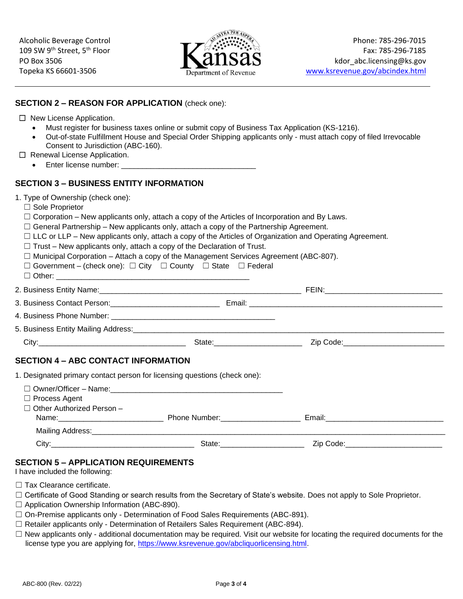

| <b>SECTION 2 - REASON FOR APPLICATION (check one):</b>                                                                                                                                                                                                                                                                                                                                                                                                                                                                                            |                                                                                               |                                                                                                                                                                                                                               |
|---------------------------------------------------------------------------------------------------------------------------------------------------------------------------------------------------------------------------------------------------------------------------------------------------------------------------------------------------------------------------------------------------------------------------------------------------------------------------------------------------------------------------------------------------|-----------------------------------------------------------------------------------------------|-------------------------------------------------------------------------------------------------------------------------------------------------------------------------------------------------------------------------------|
| $\Box$ New License Application.<br>$\bullet$<br>Consent to Jurisdiction (ABC-160).<br>$\Box$ Renewal License Application.                                                                                                                                                                                                                                                                                                                                                                                                                         | Must register for business taxes online or submit copy of Business Tax Application (KS-1216). | Out-of-state Fulfillment House and Special Order Shipping applicants only - must attach copy of filed Irrevocable                                                                                                             |
| <b>SECTION 3 - BUSINESS ENTITY INFORMATION</b>                                                                                                                                                                                                                                                                                                                                                                                                                                                                                                    |                                                                                               |                                                                                                                                                                                                                               |
| 1. Type of Ownership (check one):<br>$\Box$ Sole Proprietor<br>$\Box$ Corporation – New applicants only, attach a copy of the Articles of Incorporation and By Laws.<br>$\Box$ General Partnership – New applicants only, attach a copy of the Partnership Agreement.<br>$\Box$ Trust – New applicants only, attach a copy of the Declaration of Trust.<br>$\Box$ Municipal Corporation – Attach a copy of the Management Services Agreement (ABC-807).<br>$\Box$ Government – (check one): $\Box$ City $\Box$ County $\Box$ State $\Box$ Federal |                                                                                               | $\Box$ LLC or LLP – New applicants only, attach a copy of the Articles of Organization and Operating Agreement.                                                                                                               |
|                                                                                                                                                                                                                                                                                                                                                                                                                                                                                                                                                   |                                                                                               |                                                                                                                                                                                                                               |
|                                                                                                                                                                                                                                                                                                                                                                                                                                                                                                                                                   |                                                                                               |                                                                                                                                                                                                                               |
|                                                                                                                                                                                                                                                                                                                                                                                                                                                                                                                                                   |                                                                                               |                                                                                                                                                                                                                               |
|                                                                                                                                                                                                                                                                                                                                                                                                                                                                                                                                                   |                                                                                               |                                                                                                                                                                                                                               |
|                                                                                                                                                                                                                                                                                                                                                                                                                                                                                                                                                   |                                                                                               |                                                                                                                                                                                                                               |
| <b>SECTION 4 - ABC CONTACT INFORMATION</b>                                                                                                                                                                                                                                                                                                                                                                                                                                                                                                        |                                                                                               |                                                                                                                                                                                                                               |
| 1. Designated primary contact person for licensing questions (check one):                                                                                                                                                                                                                                                                                                                                                                                                                                                                         |                                                                                               |                                                                                                                                                                                                                               |
| $\Box$ Process Agent<br>$\Box$ Other Authorized Person -                                                                                                                                                                                                                                                                                                                                                                                                                                                                                          |                                                                                               |                                                                                                                                                                                                                               |
|                                                                                                                                                                                                                                                                                                                                                                                                                                                                                                                                                   |                                                                                               |                                                                                                                                                                                                                               |
|                                                                                                                                                                                                                                                                                                                                                                                                                                                                                                                                                   |                                                                                               | City: City: City: City: City: City: City: City: City: City: City: City: City: City: City: City: City: City: City: City: City: City: City: City: City: City: City: City: City: City: City: City: City: City: City: City: City: |
| <b>SECTION 5 - APPLICATION REQUIREMENTS</b>                                                                                                                                                                                                                                                                                                                                                                                                                                                                                                       |                                                                                               |                                                                                                                                                                                                                               |

# I have included the following:

- □ Tax Clearance certificate.
- ☐ Certificate of Good Standing or search results from the Secretary of State's website. Does not apply to Sole Proprietor.
- ☐ Application Ownership Information (ABC-890).
- ☐ On-Premise applicants only Determination of Food Sales Requirements (ABC-891).
- $\Box$  Retailer applicants only Determination of Retailers Sales Requirement (ABC-894).
- □ New applicants only additional documentation may be required. Visit our website for locating the required documents for the license type you are applying for, [https://www.ksrevenue.gov/abcliquorlicensing.html.](https://www.ksrevenue.gov/abcliquorlicensing.html)